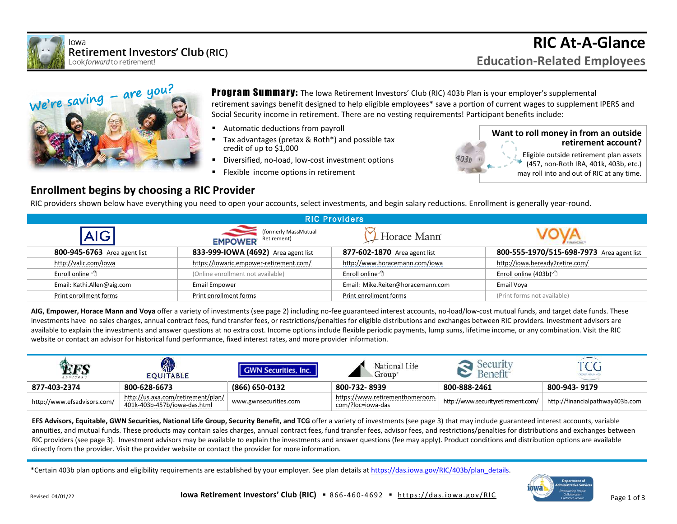



**Program Summary:** The Iowa Retirement Investors' Club (RIC) 403b Plan is your employer's supplemental retirement savings benefit designed to help eligible employees\* save a portion of current wages to supplement IPERS and Social Security income in retirement. There are no vesting requirements! Participant benefits include:

- Automatic deductions from payroll
- Tax advantages (pretax & Roth\*) and possible tax credit of up to \$1,000
- Diversified, no-load, low-cost investment options
- **EXECTE:** Flexible income options in retirement



## **Enrollment begins by choosing a RIC Provider**

RIC providers shown below have everything you need to open your accounts, select investments, and begin salary reductions. Enrollment is generally year-round.

| <b>RIC Providers</b>          |                                                       |                                   |                                           |  |  |  |  |  |
|-------------------------------|-------------------------------------------------------|-----------------------------------|-------------------------------------------|--|--|--|--|--|
|                               | (formerly MassMutual<br>Retirement)<br><b>EMPOWER</b> | . Horace Mann                     |                                           |  |  |  |  |  |
| 800-945-6763 Area agent list  | 833-999-IOWA (4692) Area agent list                   | 877-602-1870 Area agent list      | 800-555-1970/515-698-7973 Area agent list |  |  |  |  |  |
| http://valic.com/iowa         | https://iowaric.empower-retirement.com/               | http://www.horacemann.com/iowa    | http://iowa.beready2retire.com/           |  |  |  |  |  |
| Enroll online $\sqrt{\theta}$ | (Online enrollment not available)                     | Enroll online <sup>→</sup>        | Enroll online (403b) $\sqrt{2}$           |  |  |  |  |  |
| Email: Kathi.Allen@aig.com    | Email Empower                                         | Email: Mike.Reiter@horacemann.com | Email Voya                                |  |  |  |  |  |
| Print enrollment forms        | Print enrollment forms                                | Print enrollment forms            | (Print forms not available)               |  |  |  |  |  |

**AIG, Empower, Horace Mann and Voya** offer a variety of investments (see page 2) including no-fee guaranteed interest accounts, no-load/low-cost mutual funds, and target date funds. These investments have no sales charges, annual contract fees, fund transfer fees, or restrictions/penalties for eligible distributions and exchanges between RIC providers. Investment advisors are available to explain the investments and answer questions at no extra cost. Income options include flexible periodic payments, lump sums, lifetime income, or any combination. Visit the RIC website or contact an advisor for historical fund performance, fixed interest rates, and more provider information.

| $A D V I S O S$             | MC<br><b>EOUITABLE</b>                                             | <b>GWN Securities, Inc.</b> | National Life<br>Group                               |                                    | U                               |
|-----------------------------|--------------------------------------------------------------------|-----------------------------|------------------------------------------------------|------------------------------------|---------------------------------|
| 877-403-2374                | 800-628-6673                                                       | $(866) 650 - 0132$          | 800-732-8939                                         | 800-888-2461                       | 800-943-9179                    |
| http://www.efsadvisors.com/ | http://us.axa.com/retirement/plan/<br>401k-403b-457b/iowa-das.html | www.gwnsecurities.com       | https://www.retirementhomeroom.<br>com/?loc=iowa-das | http://www.securityretirement.com/ | http://financialpathway403b.com |

**EFS Advisors, Equitable, GWN Securities, National Life Group, Security Benefit, and TCG** offer a variety of investments (see page 3) that may include guaranteed interest accounts, variable annuities, and mutual funds. These products may contain sales charges, annual contract fees, fund transfer fees, advisor fees, and restrictions/penalties for distributions and exchanges between RIC providers (see page 3). Investment advisors may be available to explain the investments and answer questions (fee may apply). Product conditions and distribution options are available directly from the provider. Visit the provider website or contact the provider for more information.

\*Certain 403b plan options and eligibility requirements are established by your employer. See plan details a[t https://das.iowa.gov/RIC/403b/plan\\_details.](https://das.iowa.gov/RIC/403b/plan_details) 

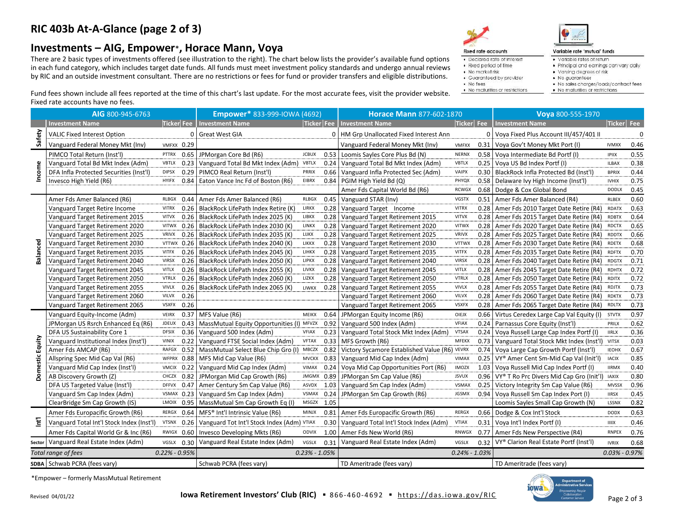## **RIC 403b At-A-Glance (page 2 of 3)**

## **Investments – AIG, Empower**\***, Horace Mann, Voya**

There are 2 basic types of investments offered (see illustration to the right). The chart below lists the provider's available fund options in each fund category, which includes target date funds. All funds must meet investment policy standards and undergo annual reviews by RIC and an outside investment consultant. There are no restrictions or fees for fund or provider transfers and eligible distributions.





Variable rate 'mutual' funds

- · Variable rates of return
- . Principal and earnings can vary daily
- Varying degrees of risk
- · No guarantees
- · Guaranteed by provider • No fees
- . No maturities or restrictions

· Declared rate of interest

· Fixed period of time

· No market risk

- . No sales charges/loads/contract fees
- No maturities or restrictions

Fund fees shown include all fees reported at the time of this chart's last update. For the most accurate fees, visit the provider website. Fixed rate accounts have no fees.

|                       | AIG 800-945-6763                          |                   |          | Empower* 833-999-IOWA (4692)               |                   | <b>Horace Mann 877-602-1870</b> |                                               | Voya 800-555-1970 |      |                                                       |                     |      |
|-----------------------|-------------------------------------------|-------------------|----------|--------------------------------------------|-------------------|---------------------------------|-----------------------------------------------|-------------------|------|-------------------------------------------------------|---------------------|------|
|                       | <b>Investment Name</b>                    | Ticker Fee        |          | <b>Investment Name</b>                     |                   | Ticker   Fee                    | <b>Investment Name</b>                        | Ticker Fee        |      | <b>Investment Name</b>                                | Ticker Fee          |      |
| Safety                | <b>VALIC Fixed Interest Option</b>        |                   | $\Omega$ | <b>Great West GIA</b>                      |                   |                                 | 0   HM Grp Unallocated Fixed Interest Ann     |                   |      | 0 Voya Fixed Plus Account III/457/401 II              |                     |      |
|                       | Vanguard Federal Money Mkt (Inv)          | <b>VMFXX 0.29</b> |          |                                            |                   |                                 | Vanguard Federal Money Mkt (Inv)              | <b>VMFXX</b>      | 0.31 | Voya Gov't Money Mkt Port (I)                         | <b>IVMXX</b>        | 0.46 |
| Income                | PIMCO Total Return (Inst'l)               | PTTRX             | 0.65     | JPMorgan Core Bd (R6)                      | <b>JCBUX</b>      | 0.53                            | Loomis Sayles Core Plus Bd (N)                | <b>NERNX</b>      | 0.58 | Voya Intermediate Bd Portf (I)                        | <b>IPIIX</b>        | 0.55 |
|                       | Vanguard Total Bd Mkt Index (Adm)         | <b>VBTLX</b>      | 0.23     | Vanguard Total Bd Mkt Index (Adm) VBTLX    |                   | 0.24                            | Vanguard Total Bd Mkt Index (Adm)             | <b>VBTLX</b>      | 0.25 | Voya US Bd Index Portf (I)                            | <b>ILBAX</b>        | 0.38 |
|                       | DFA Infla Protected Securities (Inst'l)   | <b>DIPSX</b>      | 0.29     | PIMCO Real Return (Inst'l)                 | PRRIX             | 0.66                            | Vanguard Infla Protected Sec (Adm)            | <b>VAIPX</b>      | 0.30 | BlackRock Infla Protected Bd (Inst'l)                 | <b>BPRIX</b>        | 0.44 |
|                       | Invesco High Yield (R6)                   | <b>HYIFX</b>      | 0.84     | Eaton Vance Inc Fd of Boston (R6)          | EIBRX             | 0.84                            | PGIM High Yield Bd (Q)                        | PHYQX             | 0.58 | Delaware Ivy High Income (Inst'l)                     | <b>IVHIX</b>        | 0.75 |
|                       |                                           |                   |          |                                            |                   |                                 | Amer Fds Capital World Bd (R6)                | <b>RCWGX</b>      |      | 0.68 Dodge & Cox Global Bond                          | <b>DODLX</b>        | 0.45 |
|                       | Amer Fds Amer Balanced (R6)               | RLBGX             | 0.44     | Amer Fds Amer Balanced (R6)                | <b>RLBGX</b>      | 0.45                            | Vanguard STAR (Inv)                           | <b>VGSTX</b>      |      | 0.51 Amer Fds Amer Balanced (R4)                      | <b>RLBEX</b>        | 0.60 |
|                       | Vanguard Target Retire Income             | <b>VITRX</b>      | 0.26     | BlackRock LifePath Index Retire (K)        | LIRKX             | 0.28                            | Vanguard Target Income                        | <b>VITRX</b>      |      | 0.28 Amer Fds 2010 Target Date Retire (R4)            | <b>RDATX</b>        | 0.63 |
|                       | Vanguard Target Retirement 2015           | <b>VITVX</b>      | 0.26     | BlackRock LifePath Index 2025 (K)          | LIBKX             | 0.28                            | Vanguard Target Retirement 2015               | <b>VITVX</b>      |      | 0.28 Amer Fds 2015 Target Date Retire (R4)            | <b>RDBTX</b>        | 0.64 |
|                       | Vanguard Target Retirement 2020           | <b>VITWX</b>      | 0.26     | BlackRock LifePath Index 2030 (K)          | LINKX             | 0.28                            | Vanguard Target Retirement 2020               | <b>VITWX</b>      | 0.28 | Amer Fds 2020 Target Date Retire (R4)                 | <b>RDCTX</b>        | 0.65 |
|                       | Vanguard Target Retirement 2025           | <b>VRIVX</b>      | 0.26     | BlackRock LifePath Index 2035 (K)          | LIJKX             | 0.28                            | Vanguard Target Retirement 2025               | <b>VRIVX</b>      | 0.28 | Amer Fds 2025 Target Date Retire (R4)                 | <b>RDDTX</b>        | 0.66 |
| Balanced              | Vanguard Target Retirement 2030           | VTTWX             | 0.26     | BlackRock LifePath Index 2040 (K)          | LIKKX             | 0.28                            | Vanguard Target Retirement 2030               | <b>VTTWX</b>      | 0.28 | Amer Fds 2030 Target Date Retire (R4)                 | RDETX               | 0.68 |
|                       | Vanguard Target Retirement 2035           | <b>VITFX</b>      | 0.26     | BlackRock LifePath Index 2045 (K)          | LIHKX             | 0.28                            | Vanguard Target Retirement 2035               | <b>VITFX</b>      |      | 0.28   Amer Fds 2035 Target Date Retire (R4) RDFTX    |                     | 0.70 |
|                       | Vanguard Target Retirement 2040           | <b>VIRSX</b>      | 0.26     | BlackRock LifePath Index 2050 (K)          | <b>LIPKX</b>      | 0.28                            | Vanguard Target Retirement 2040               | <b>VIRSX</b>      |      | 0.28 Amer Fds 2040 Target Date Retire (R4)            | <b>RDGTX</b>        | 0.71 |
|                       | Vanguard Target Retirement 2045           | <b>VITLX</b>      | 0.26     | BlackRock LifePath Index 2055 (K)          | <b>LIVKX</b>      | 0.28                            | Vanguard Target Retirement 2045               | <b>VITLX</b>      |      | 0.28 Amer Fds 2045 Target Date Retire (R4)            | <b>RDHTX</b>        | 0.72 |
|                       | Vanguard Target Retirement 2050           | <b>VTRLX</b>      | 0.26     | BlackRock LifePath Index 2060 (K)          | LIZKX             | 0.28                            | Vanguard Target Retirement 2050               | <b>VTRLX</b>      | 0.28 | Amer Fds 2050 Target Date Retire (R4)                 | <b>RDITX</b>        | 0.72 |
|                       | Vanguard Target Retirement 2055           | <b>VIVLX</b>      | 0.26     | BlackRock LifePath Index 2065 (K)          | <b>LIWKX</b>      | 0.28                            | Vanguard Target Retirement 2055               | <b>VIVLX</b>      | 0.28 | Amer Fds 2055 Target Date Retire (R4)                 | RDJTX               | 0.73 |
|                       | Vanguard Target Retirement 2060           | <b>VILVX</b>      | 0.26     |                                            |                   |                                 | Vanguard Target Retirement 2060               | <b>VILVX</b>      | 0.28 | Amer Fds 2060 Target Date Retire (R4)                 | <b>RDKTX</b>        | 0.73 |
|                       | Vanguard Target Retirement 2065           | <b>VSXFX</b>      | 0.26     |                                            |                   |                                 | Vanguard Target Retirement 2065               | <b>VSXFX</b>      | 0.28 | Amer Fds 2065 Target Date Retire (R4)                 | <b>RDLTX</b>        | 0.73 |
|                       | Vanguard Equity-Income (Adm)              | <b>VEIRX</b>      | 0.37     | MFS Value (R6)                             | <b>MEIKX</b>      | 0.64                            | JPMorgan Equity Income (R6)                   | OIEJX             | 0.66 | Virtus Ceredex Large Cap Val Equity (I)               | <b>STVTX</b>        | 0.97 |
|                       | JPMorgan US Rsrch Enhanced Eq (R6)        | <b>JDEUX</b>      | 0.43     | MassMutual Equity Opportunities (I) MFVZX  |                   | 0.92                            | Vanguard 500 Index (Adm)                      | <b>VFIAX</b>      |      | 0.24 Parnassus Core Equity (Inst'l)                   | PRILX               | 0.62 |
|                       | DFA US Sustainability Core 1              | <b>DFSIX</b>      | 0.36     | Vanguard 500 Index (Adm)                   | <b>VFIAX</b>      | 0.23                            | Vanguard Total Stock Mkt Index (Adm)          | <b>VTSAX</b>      | 0.24 | Voya Russell Large Cap Index Portf (I)                | <b>IIRLX</b>        | 0.36 |
| Equity                | Vanguard Institutional Index (Inst'l)     | <b>VINIX</b>      | 0.22     | Vanguard FTSE Social Index (Adm)           | <b>VFTAX</b>      | 0.33                            | MFS Growth (R6)                               | <b>MFEKX</b>      | 0.73 | Vanguard Total Stock Mkt Index (Inst'l)               | <b>VITSX</b>        | 0.03 |
|                       | Amer Fds AMCAP (R6)                       | RAFGX             | 0.52     | MassMutual Select Blue Chip Gro (I)        | MBCZX             | 0.82                            | Victory Sycamore Established Value (R6) VEVRX |                   | 0.74 | Voya Large Cap Growth Portf (Inst'l)                  | <b>IEOHX</b>        | 0.67 |
| Domestic              | Allspring Spec Mid Cap Val (R6)           | WFPRX             | 0.88     | MFS Mid Cap Value (R6)                     | <b>MVCKX</b>      | 0.83                            | Vanguard Mid Cap Index (Adm)                  | <b>VIMAX</b>      | 0.25 | VY® Amer Cent Sm-Mid Cap Val (Init'l)                 | <b>IACIX</b>        | 0.85 |
|                       | Vanguard Mid Cap Index (Inst'l)           | VMCIX 0.22        |          | Vanguard Mid Cap Index (Adm)               | VIMAX             | 0.24                            | Voya Mid Cap Opportunities Port (R6)          | <b>IMOZX</b>      | 1.03 | Voya Russell Mid Cap Index Portf (I)                  | <b>IIRMX</b>        | 0.40 |
|                       | AB Discovery Growth (Z)                   | CHCZX 0.82        |          | JPMorgan Mid Cap Growth (R6)               | <b>JMGMX</b>      | 0.89                            | JPMorgan Sm Cap Value (R6)                    | <b>JSVUX</b>      |      | 0.96   VY® T Ro Prc Divers Mid Cap Gro (Init'l) IAXIX |                     | 0.80 |
|                       | DFA US Targeted Value (Inst'l)            | <b>DFFVX</b>      | 0.47     | Amer Century Sm Cap Value (R6)             | ASVDX             | 1.03                            | Vanguard Sm Cap Index (Adm)                   | <b>VSMAX</b>      | 0.25 | Victory Integrity Sm Cap Value (R6)                   | <b>MVSSX</b>        | 0.96 |
| $\overleftarrow{\Xi}$ | Vanguard Sm Cap Index (Adm)               | VSMAX 0.23        |          | Vanguard Sm Cap Index (Adm)                | VSMAX             | 0.24                            | JPMorgan Sm Cap Growth (R6)                   | JGSMX             | 0.94 | Voya Russell Sm Cap Index Port (I)                    | <b>IIRSX</b>        | 0.45 |
|                       | ClearBridge Sm Cap Growth (IS)            | LMOIX             | 0.95     | MassMutual Sm Cap Growth Eq (I)            | MSGZX             | 1.05                            |                                               |                   |      | Loomis Sayles Small Cap Growth (N)                    | LSSNX               | 0.82 |
|                       | Amer Fds Europacific Growth (R6)          | RERGX             | 0.64     | MFS® Int'l Intrinsic Value (R6)            | <b>MINJX</b>      | 0.81                            | Amer Fds Europacific Growth (R6)              | <b>RERGX</b>      | 0.66 | Dodge & Cox Int'l Stock                               | <b>DODX</b>         | 0.63 |
|                       | Vanguard Total Int'l Stock Index (Inst'l) | <b>VTSNX</b>      | 0.26     | Vanguard Tot Int'l Stock Index (Adm) VTIAX |                   | 0.30                            | Vanguard Total Int'l Stock Index (Adm)        | <b>VTIAX</b>      | 0.31 | Voya Int'l Index Portf (I)                            | <b>IIIIX</b>        | 0.46 |
|                       | Amer Fds Capital World Gr & Inc (R6)      | RWIGX             | 0.60     | Invesco Developing Mkts (R6)               | <b>ODVIX</b>      | 1.00                            | Amer Fds New World (R6)                       | RNWGX             | 0.77 | Amer Fds New Perspective (R4)                         | <b>RNPEX</b>        | 0.76 |
|                       | sector Vanguard Real Estate Index (Adm)   | VGSLX             | 0.30     | Vanguard Real Estate Index (Adm)           | VGSLX             | 0.31                            | Vanguard Real Estate Index (Adm)              | VGSLX             | 0.32 | VY® Clarion Real Estate Portf (Inst'l)                | <b>IVRIX</b>        | 0.68 |
|                       | Total range of fees                       | $0.22\% - 0.95\%$ |          |                                            | $0.23\% - 1.05\%$ |                                 |                                               | $0.24\% - 1.03\%$ |      |                                                       | $0.03\%$ - $0.97\%$ |      |
|                       | SDBA Schwab PCRA (fees vary)              |                   |          | Schwab PCRA (fees vary)                    |                   |                                 | TD Ameritrade (fees vary)                     |                   |      | TD Ameritrade (fees vary)                             |                     |      |

\*Empower – formerly MassMutual Retirement